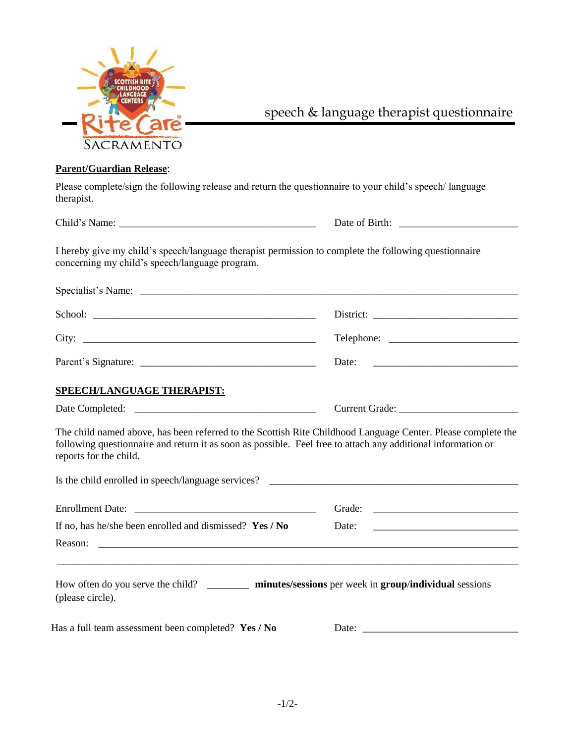

speech & language therapist questionnaire

## **Parent/Guardian Release**:

Please complete/sign the following release and return the questionnaire to your child's speech/ language therapist.

Child's Name: \_\_\_\_\_\_\_\_\_\_\_\_\_\_\_\_\_\_\_\_\_\_\_\_\_\_\_\_\_\_\_\_\_\_\_\_\_\_ Date of Birth: \_\_\_\_\_\_\_\_\_\_\_\_\_\_\_\_\_\_\_\_\_\_\_

I hereby give my child's speech/language therapist permission to complete the following questionnaire concerning my child's speech/language program.

| Specialist's Name:                                                   | <u> 1980 - Jan Barat, prima matematika a prima matematika a prima matematika a prima matematika a prima matematik</u> |
|----------------------------------------------------------------------|-----------------------------------------------------------------------------------------------------------------------|
| School:<br><u> 1989 - John Stone, Amerikaansk politiker (* 1989)</u> | $Distribt: \_\_$                                                                                                      |
|                                                                      |                                                                                                                       |
| Parent's Signature:                                                  | Date:                                                                                                                 |

## **SPEECH/LANGUAGE THERAPIST:**

Date Completed: \_\_\_\_\_\_\_\_\_\_\_\_\_\_\_\_\_\_\_\_\_\_\_\_\_\_\_\_\_\_\_\_\_\_\_ Current Grade: \_\_\_\_\_\_\_\_\_\_\_\_\_\_\_\_\_\_\_\_\_\_\_

The child named above, has been referred to the Scottish Rite Childhood Language Center. Please complete the following questionnaire and return it as soon as possible. Feel free to attach any additional information or reports for the child.

| Is the child enrolled in speech/language services?                                                                                |                                                                                                                                |
|-----------------------------------------------------------------------------------------------------------------------------------|--------------------------------------------------------------------------------------------------------------------------------|
|                                                                                                                                   | Grade:<br><u> 1980 - Andrea Barbara, poeta espainiar político e a contrar a provincia e a contrar a contrar a contrar a co</u> |
| If no, has he/she been enrolled and dismissed? $Yes / No$                                                                         | Date:                                                                                                                          |
| Reason:<br><u> 1980 - Johann John Stein, markin fan de Amerikaansk kommunister op de Amerikaansk kommunister op de Amerikaans</u> |                                                                                                                                |
| How often do you serve the child?<br>(please circle).                                                                             | minutes/sessions per week in group/individual sessions                                                                         |

Has a full team assessment been completed? **Yes / No** D

| Date: |  |
|-------|--|
|-------|--|